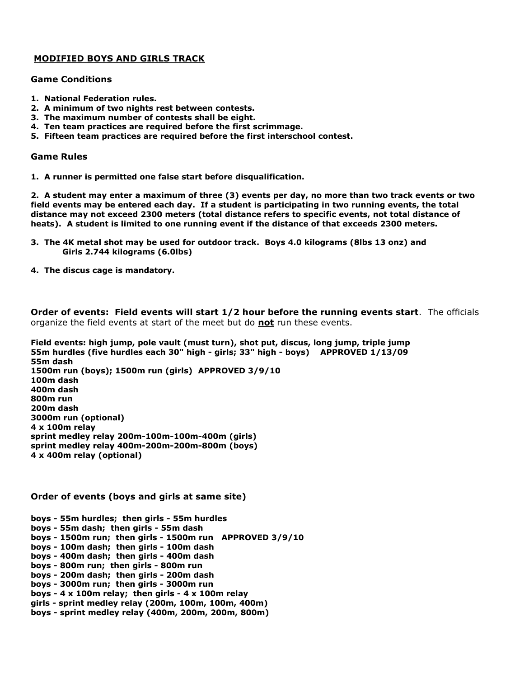# **MODIFIED BOYS AND GIRLS TRACK**

## **Game Conditions**

- **1. National Federation rules.**
- **2. A minimum of two nights rest between contests.**
- **3. The maximum number of contests shall be eight.**
- **4. Ten team practices are required before the first scrimmage.**
- **5. Fifteen team practices are required before the first interschool contest.**

### **Game Rules**

**1. A runner is permitted one false start before disqualification.**

**2. A student may enter a maximum of three (3) events per day, no more than two track events or two field events may be entered each day. If a student is participating in two running events, the total distance may not exceed 2300 meters (total distance refers to specific events, not total distance of heats). A student is limited to one running event if the distance of that exceeds 2300 meters.**

- **3. The 4K metal shot may be used for outdoor track. Boys 4.0 kilograms (8lbs 13 onz) and Girls 2.744 kilograms (6.0lbs)**
- **4. The discus cage is mandatory.**

**Order of events: Field events will start 1/2 hour before the running events start**. The officials organize the field events at start of the meet but do **not** run these events.

**Field events: high jump, pole vault (must turn), shot put, discus, long jump, triple jump 55m hurdles (five hurdles each 30" high - girls; 33" high - boys) APPROVED 1/13/09 55m dash 1500m run (boys); 1500m run (girls) APPROVED 3/9/10 100m dash 400m dash 800m run 200m dash 3000m run (optional) 4 x 100m relay sprint medley relay 200m-100m-100m-400m (girls) sprint medley relay 400m-200m-200m-800m (boys) 4 x 400m relay (optional)**

#### **Order of events (boys and girls at same site)**

**boys - 55m hurdles; then girls - 55m hurdles boys - 55m dash; then girls - 55m dash boys - 1500m run; then girls - 1500m run APPROVED 3/9/10 boys - 100m dash; then girls - 100m dash boys - 400m dash; then girls - 400m dash boys - 800m run; then girls - 800m run boys - 200m dash; then girls - 200m dash boys - 3000m run; then girls - 3000m run boys - 4 x 100m relay; then girls - 4 x 100m relay girls - sprint medley relay (200m, 100m, 100m, 400m) boys - sprint medley relay (400m, 200m, 200m, 800m)**